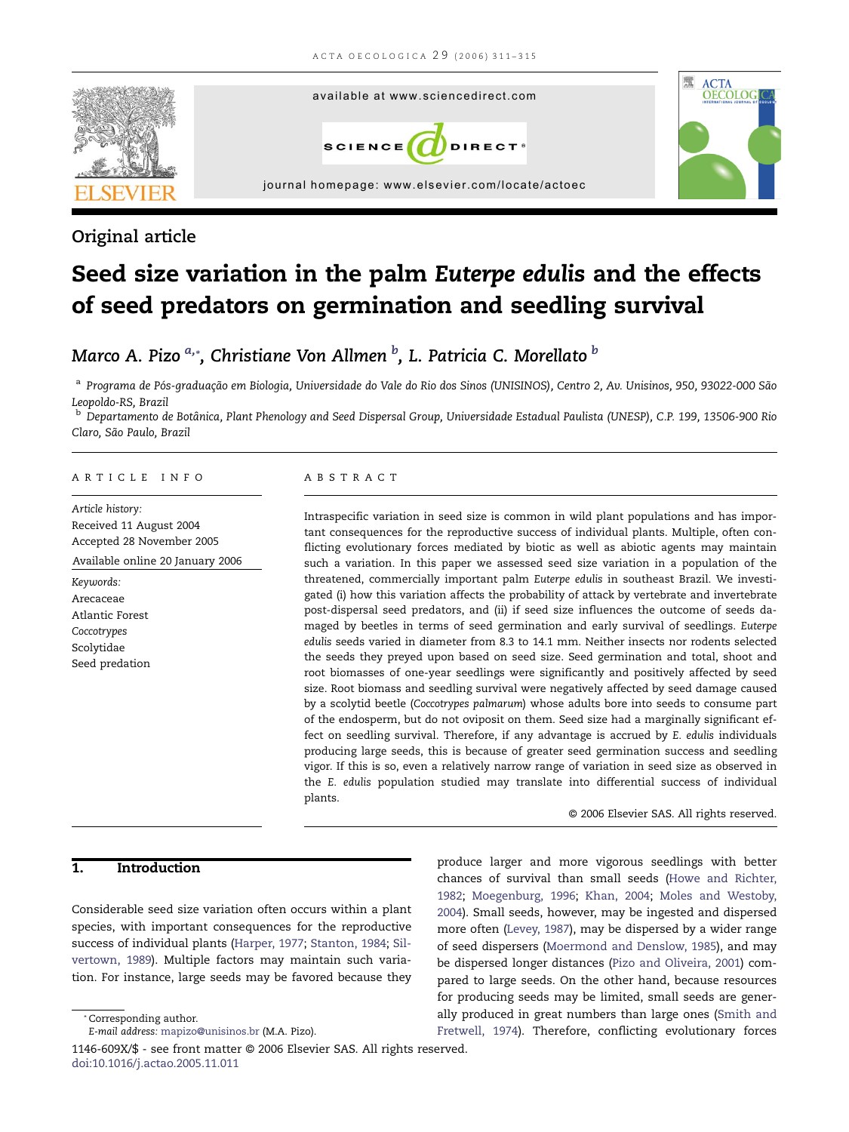

# Original article

# Seed size variation in the palm Euterpe edulis and the effects of seed predators on germination and seedling survival

# Marco A. Pizo  $^{a,*}$ , Christiane Von Allmen  $^b$ , L. Patricia C. Morellato  $^b$

a Programa de Pós-graduação em Biologia, Universidade do Vale do Rio dos Sinos (UNISINOS), Centro 2, Av. Unisinos, 950, 93022-000 São Leopoldo-RS, Brazil

<sup>b</sup> Departamento de Botânica, Plant Phenology and Seed Dispersal Group, Universidade Estadual Paulista (UNESP), C.P. 199, 13506-900 Rio Claro, São Paulo, Brazil

#### ARTICLE INFO

Article history: Received 11 August 2004 Accepted 28 November 2005 Available online 20 January 2006

Keywords: Arecaceae Atlantic Forest Coccotrypes Scolytidae Seed predation

#### ABSTRACT

Intraspecific variation in seed size is common in wild plant populations and has important consequences for the reproductive success of individual plants. Multiple, often conflicting evolutionary forces mediated by biotic as well as abiotic agents may maintain such a variation. In this paper we assessed seed size variation in a population of the threatened, commercially important palm Euterpe edulis in southeast Brazil. We investigated (i) how this variation affects the probability of attack by vertebrate and invertebrate post-dispersal seed predators, and (ii) if seed size influences the outcome of seeds damaged by beetles in terms of seed germination and early survival of seedlings. Euterpe edulis seeds varied in diameter from 8.3 to 14.1 mm. Neither insects nor rodents selected the seeds they preyed upon based on seed size. Seed germination and total, shoot and root biomasses of one-year seedlings were significantly and positively affected by seed size. Root biomass and seedling survival were negatively affected by seed damage caused by a scolytid beetle (Coccotrypes palmarum) whose adults bore into seeds to consume part of the endosperm, but do not oviposit on them. Seed size had a marginally significant effect on seedling survival. Therefore, if any advantage is accrued by E. edulis individuals producing large seeds, this is because of greater seed germination success and seedling vigor. If this is so, even a relatively narrow range of variation in seed size as observed in the E. edulis population studied may translate into differential success of individual plants.

© 2006 Elsevier SAS. All rights reserved.

# 1. Introduction

Considerable seed size variation often occurs within a plant species, with important consequences for the reproductive success of individual plants [\(Harper, 1977](#page-4-0); [Stanton, 1984;](#page-4-0) [Sil](#page-4-0)[vertown, 1989](#page-4-0)). Multiple factors may maintain such variation. For instance, large seeds may be favored because they

produce larger and more vigorous seedlings with better chances of survival than small seeds [\(Howe and Richter,](#page-4-0) [1982](#page-4-0); [Moegenburg, 1996;](#page-4-0) [Khan, 2004;](#page-4-0) [Moles and Westoby,](#page-4-0) [2004](#page-4-0)). Small seeds, however, may be ingested and dispersed more often ([Levey, 1987](#page-4-0)), may be dispersed by a wider range of seed dispersers [\(Moermond and Denslow, 1985\)](#page-4-0), and may be dispersed longer distances [\(Pizo and Oliveira, 2001](#page-4-0)) compared to large seeds. On the other hand, because resources for producing seeds may be limited, small seeds are generally produced in great numbers than large ones [\(Smith and](#page-4-0) [Fretwell, 1974](#page-4-0)). Therefore, conflicting evolutionary forces

[doi:10.1016/j.actao.2005.11.011](dx.doi.org/10.1016/j.actao.2005.11.011)

<sup>\*</sup> Corresponding author. E-mail address: [mapizo@unisinos.br](mailto:mapizo@unisinos.br) (M.A. Pizo). 1146-609X/\$ - see front matter © 2006 Elsevier SAS. All rights reserved.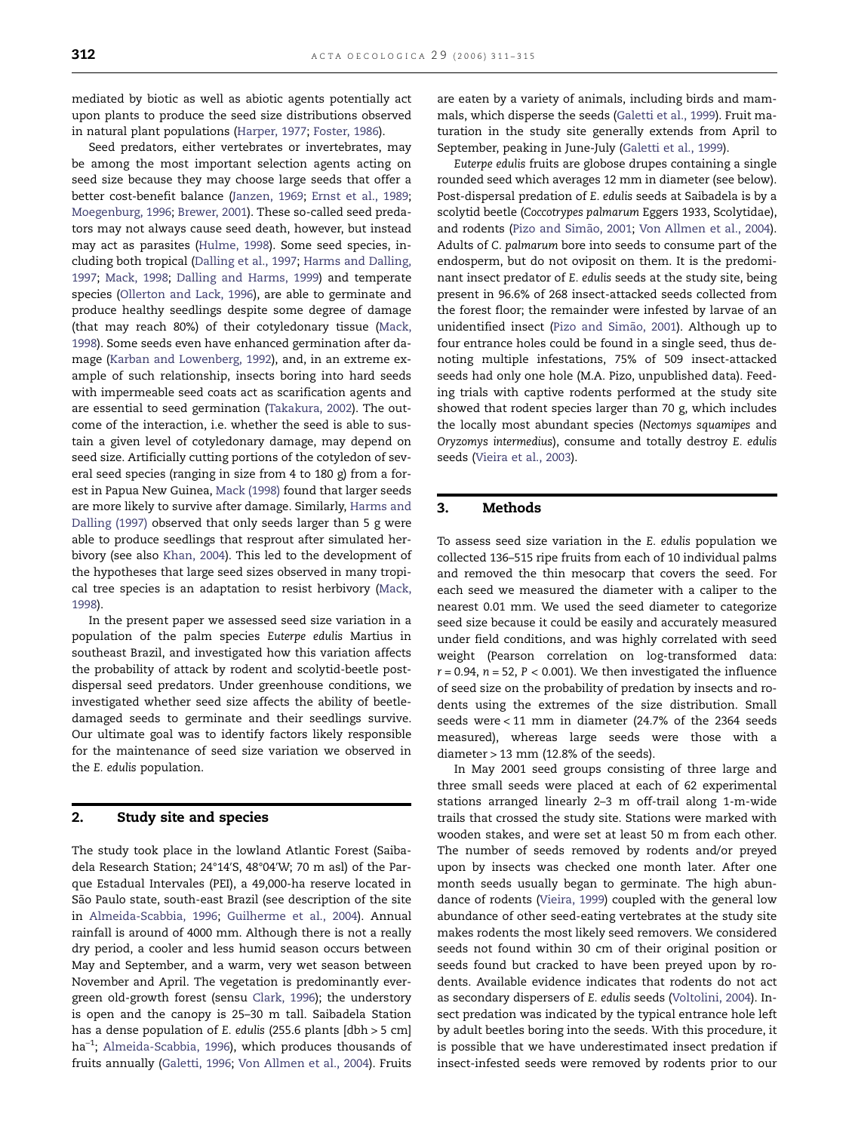mediated by biotic as well as abiotic agents potentially act upon plants to produce the seed size distributions observed in natural plant populations [\(Harper, 1977](#page-4-0); [Foster, 1986\)](#page-4-0).

Seed predators, either vertebrates or invertebrates, may be among the most important selection agents acting on seed size because they may choose large seeds that offer a better cost-benefit balance [\(Janzen, 1969;](#page-4-0) [Ernst et al., 1989](#page-3-0); [Moegenburg, 1996](#page-4-0); [Brewer, 2001](#page-3-0)). These so-called seed predators may not always cause seed death, however, but instead may act as parasites [\(Hulme, 1998\)](#page-4-0). Some seed species, including both tropical ([Dalling et al., 1997](#page-3-0); [Harms and Dalling,](#page-4-0) [1997;](#page-4-0) [Mack, 1998;](#page-4-0) [Dalling and Harms, 1999\)](#page-3-0) and temperate species [\(Ollerton and Lack, 1996\)](#page-4-0), are able to germinate and produce healthy seedlings despite some degree of damage (that may reach 80%) of their cotyledonary tissue ([Mack,](#page-4-0) [1998\)](#page-4-0). Some seeds even have enhanced germination after damage [\(Karban and Lowenberg, 1992](#page-4-0)), and, in an extreme example of such relationship, insects boring into hard seeds with impermeable seed coats act as scarification agents and are essential to seed germination [\(Takakura, 2002\)](#page-4-0). The outcome of the interaction, i.e. whether the seed is able to sustain a given level of cotyledonary damage, may depend on seed size. Artificially cutting portions of the cotyledon of several seed species (ranging in size from 4 to 180 g) from a forest in Papua New Guinea, [Mack \(1998\)](#page-4-0) found that larger seeds are more likely to survive after damage. Similarly, [Harms and](#page-4-0) [Dalling \(1997\)](#page-4-0) observed that only seeds larger than 5 g were able to produce seedlings that resprout after simulated herbivory (see also [Khan, 2004\)](#page-4-0). This led to the development of the hypotheses that large seed sizes observed in many tropical tree species is an adaptation to resist herbivory ([Mack,](#page-4-0) [1998\)](#page-4-0).

In the present paper we assessed seed size variation in a population of the palm species Euterpe edulis Martius in southeast Brazil, and investigated how this variation affects the probability of attack by rodent and scolytid-beetle postdispersal seed predators. Under greenhouse conditions, we investigated whether seed size affects the ability of beetledamaged seeds to germinate and their seedlings survive. Our ultimate goal was to identify factors likely responsible for the maintenance of seed size variation we observed in the E. edulis population.

## 2. Study site and species

The study took place in the lowland Atlantic Forest (Saibadela Research Station; 24°14′S, 48°04′W; 70 m asl) of the Parque Estadual Intervales (PEI), a 49,000-ha reserve located in São Paulo state, south-east Brazil (see description of the site in [Almeida-Scabbia, 1996;](#page-3-0) [Guilherme et al., 2004\)](#page-4-0). Annual rainfall is around of 4000 mm. Although there is not a really dry period, a cooler and less humid season occurs between May and September, and a warm, very wet season between November and April. The vegetation is predominantly evergreen old-growth forest (sensu [Clark, 1996](#page-3-0)); the understory is open and the canopy is 25–30 m tall. Saibadela Station has a dense population of E. edulis (255.6 plants [dbh > 5 cm] ha<sup>-1</sup>; [Almeida-Scabbia, 1996](#page-3-0)), which produces thousands of fruits annually ([Galetti, 1996](#page-4-0); [Von Allmen et al., 2004\)](#page-4-0). Fruits

are eaten by a variety of animals, including birds and mammals, which disperse the seeds ([Galetti et al., 1999\)](#page-4-0). Fruit maturation in the study site generally extends from April to September, peaking in June-July ([Galetti et al., 1999](#page-4-0)).

Euterpe edulis fruits are globose drupes containing a single rounded seed which averages 12 mm in diameter (see below). Post-dispersal predation of E. edulis seeds at Saibadela is by a scolytid beetle (Coccotrypes palmarum Eggers 1933, Scolytidae), and rodents ([Pizo and Simão, 2001](#page-4-0); [Von Allmen et al., 2004](#page-4-0)). Adults of C. palmarum bore into seeds to consume part of the endosperm, but do not oviposit on them. It is the predominant insect predator of E. edulis seeds at the study site, being present in 96.6% of 268 insect-attacked seeds collected from the forest floor; the remainder were infested by larvae of an unidentified insect [\(Pizo and Simão, 2001\)](#page-4-0). Although up to four entrance holes could be found in a single seed, thus denoting multiple infestations, 75% of 509 insect-attacked seeds had only one hole (M.A. Pizo, unpublished data). Feeding trials with captive rodents performed at the study site showed that rodent species larger than 70 g, which includes the locally most abundant species (Nectomys squamipes and Oryzomys intermedius), consume and totally destroy E. edulis seeds ([Vieira et al., 2003\)](#page-4-0).

#### 3. Methods

To assess seed size variation in the E. edulis population we collected 136–515 ripe fruits from each of 10 individual palms and removed the thin mesocarp that covers the seed. For each seed we measured the diameter with a caliper to the nearest 0.01 mm. We used the seed diameter to categorize seed size because it could be easily and accurately measured under field conditions, and was highly correlated with seed weight (Pearson correlation on log-transformed data:  $r = 0.94$ ,  $n = 52$ ,  $P < 0.001$ ). We then investigated the influence of seed size on the probability of predation by insects and rodents using the extremes of the size distribution. Small seeds were < 11 mm in diameter (24.7% of the 2364 seeds measured), whereas large seeds were those with a diameter  $> 13$  mm (12.8% of the seeds).

In May 2001 seed groups consisting of three large and three small seeds were placed at each of 62 experimental stations arranged linearly 2–3 m off-trail along 1-m-wide trails that crossed the study site. Stations were marked with wooden stakes, and were set at least 50 m from each other. The number of seeds removed by rodents and/or preyed upon by insects was checked one month later. After one month seeds usually began to germinate. The high abundance of rodents ([Vieira, 1999\)](#page-4-0) coupled with the general low abundance of other seed-eating vertebrates at the study site makes rodents the most likely seed removers. We considered seeds not found within 30 cm of their original position or seeds found but cracked to have been preyed upon by rodents. Available evidence indicates that rodents do not act as secondary dispersers of E. edulis seeds [\(Voltolini, 2004\)](#page-4-0). Insect predation was indicated by the typical entrance hole left by adult beetles boring into the seeds. With this procedure, it is possible that we have underestimated insect predation if insect-infested seeds were removed by rodents prior to our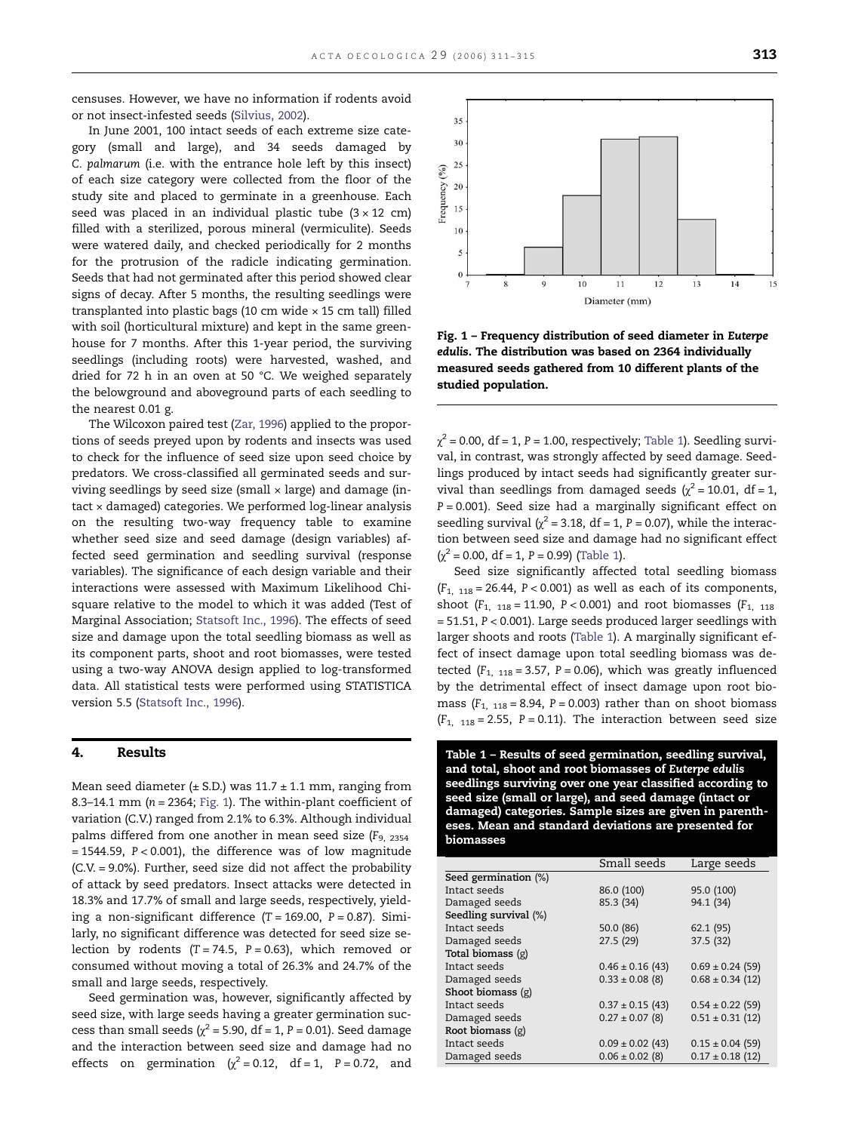<span id="page-2-0"></span>censuses. However, we have no information if rodents avoid or not insect-infested seeds [\(Silvius, 2002\)](#page-4-0).

In June 2001, 100 intact seeds of each extreme size category (small and large), and 34 seeds damaged by C. palmarum (i.e. with the entrance hole left by this insect) of each size category were collected from the floor of the study site and placed to germinate in a greenhouse. Each seed was placed in an individual plastic tube  $(3 \times 12 \text{ cm})$ filled with a sterilized, porous mineral (vermiculite). Seeds were watered daily, and checked periodically for 2 months for the protrusion of the radicle indicating germination. Seeds that had not germinated after this period showed clear signs of decay. After 5 months, the resulting seedlings were transplanted into plastic bags (10 cm wide × 15 cm tall) filled with soil (horticultural mixture) and kept in the same greenhouse for 7 months. After this 1-year period, the surviving seedlings (including roots) were harvested, washed, and dried for 72 h in an oven at 50 °C. We weighed separately the belowground and aboveground parts of each seedling to the nearest 0.01 g.

The Wilcoxon paired test [\(Zar, 1996\)](#page-4-0) applied to the proportions of seeds preyed upon by rodents and insects was used to check for the influence of seed size upon seed choice by predators. We cross-classified all germinated seeds and surviving seedlings by seed size (small  $\times$  large) and damage (intact × damaged) categories. We performed log-linear analysis on the resulting two-way frequency table to examine whether seed size and seed damage (design variables) affected seed germination and seedling survival (response variables). The significance of each design variable and their interactions were assessed with Maximum Likelihood Chisquare relative to the model to which it was added (Test of Marginal Association; [Statsoft Inc., 1996\)](#page-4-0). The effects of seed size and damage upon the total seedling biomass as well as its component parts, shoot and root biomasses, were tested using a two-way ANOVA design applied to log-transformed data. All statistical tests were performed using STATISTICA version 5.5 ([Statsoft Inc., 1996](#page-4-0)).

# 4. Results

Mean seed diameter ( $\pm$  S.D.) was 11.7  $\pm$  1.1 mm, ranging from 8.3–14.1 mm ( $n = 2364$ ; Fig. 1). The within-plant coefficient of variation (C.V.) ranged from 2.1% to 6.3%. Although individual palms differed from one another in mean seed size  $(F_{9, 2354})$  $= 1544.59$ ,  $P < 0.001$ ), the difference was of low magnitude (C.V. = 9.0%). Further, seed size did not affect the probability of attack by seed predators. Insect attacks were detected in 18.3% and 17.7% of small and large seeds, respectively, yielding a non-significant difference  $(T = 169.00, P = 0.87)$ . Similarly, no significant difference was detected for seed size selection by rodents  $(T = 74.5, P = 0.63)$ , which removed or consumed without moving a total of 26.3% and 24.7% of the small and large seeds, respectively.

Seed germination was, however, significantly affected by seed size, with large seeds having a greater germination success than small seeds ( $\chi^2$  = 5.90, df = 1, P = 0.01). Seed damage and the interaction between seed size and damage had no effects on germination  $\chi^2 = 0.12$ , df = 1, P = 0.72, and



Fig. 1 – Frequency distribution of seed diameter in Euterpe edulis. The distribution was based on 2364 individually measured seeds gathered from 10 different plants of the studied population.

 $\chi^2$  = 0.00, df = 1, P = 1.00, respectively; Table 1). Seedling survival, in contrast, was strongly affected by seed damage. Seedlings produced by intact seeds had significantly greater survival than seedlings from damaged seeds ( $\chi^2$  = 10.01, df = 1,  $P = 0.001$ ). Seed size had a marginally significant effect on seedling survival ( $\chi^2$  = 3.18, df = 1, P = 0.07), while the interaction between seed size and damage had no significant effect  $(\chi^2 = 0.00, df = 1, P = 0.99)$  (Table 1).

Seed size significantly affected total seedling biomass  $(F<sub>1, 118</sub> = 26.44, P < 0.001)$  as well as each of its components, shoot ( $F_{1, 118} = 11.90$ ,  $P < 0.001$ ) and root biomasses ( $F_{1, 118}$ ) = 51.51, P < 0.001). Large seeds produced larger seedlings with larger shoots and roots (Table 1). A marginally significant effect of insect damage upon total seedling biomass was detected ( $F_{1, 118} = 3.57$ ,  $P = 0.06$ ), which was greatly influenced by the detrimental effect of insect damage upon root biomass  $(F<sub>1, 118</sub> = 8.94, P = 0.003)$  rather than on shoot biomass  $(F<sub>1, 118</sub> = 2.55, P = 0.11)$ . The interaction between seed size

Table 1 – Results of seed germination, seedling survival, and total, shoot and root biomasses of Euterpe edulis seedlings surviving over one year classified according to seed size (small or large), and seed damage (intact or damaged) categories. Sample sizes are given in parentheses. Mean and standard deviations are presented for biomasses

|                       | Small seeds          | Large seeds          |
|-----------------------|----------------------|----------------------|
| Seed germination (%)  |                      |                      |
| Intact seeds          | 86.0 (100)           | 95.0 (100)           |
| Damaged seeds         | 85.3 (34)            | 94.1 (34)            |
| Seedling survival (%) |                      |                      |
| Intact seeds          | 50.0 (86)            | 62.1 (95)            |
| Damaged seeds         | 27.5 (29)            | 37.5 (32)            |
| Total biomass (g)     |                      |                      |
| Intact seeds          | $0.46 \pm 0.16$ (43) | $0.69 \pm 0.24$ (59) |
| Damaged seeds         | $0.33 \pm 0.08$ (8)  | $0.68 \pm 0.34$ (12) |
| Shoot biomass $(g)$   |                      |                      |
| Intact seeds          | $0.37 \pm 0.15$ (43) | $0.54 \pm 0.22$ (59) |
| Damaged seeds         | $0.27 \pm 0.07$ (8)  | $0.51 \pm 0.31$ (12) |
| Root biomass $(g)$    |                      |                      |
| Intact seeds          | $0.09 \pm 0.02$ (43) | $0.15 \pm 0.04$ (59) |
| Damaged seeds         | $0.06 \pm 0.02$ (8)  | $0.17 \pm 0.18$ (12) |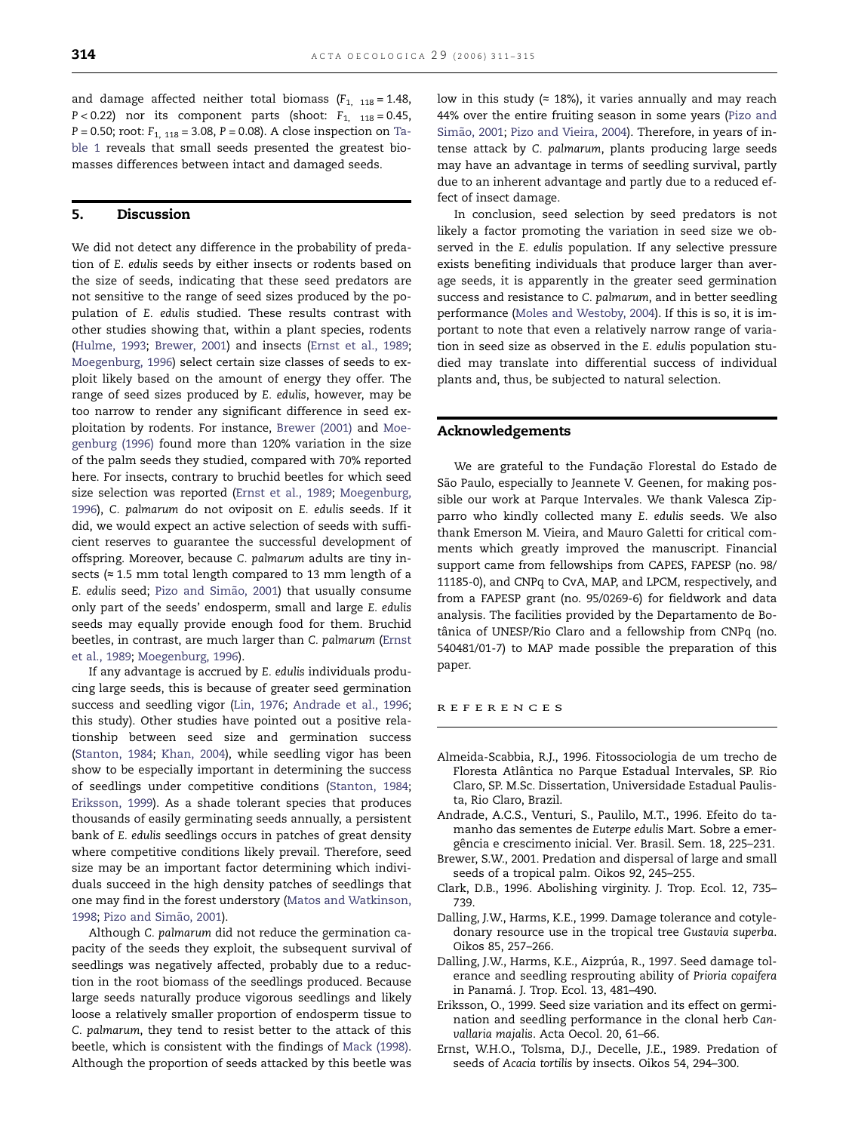<span id="page-3-0"></span>and damage affected neither total biomass  $(F_{1, 118} = 1.48,$  $P < 0.22$ ) nor its component parts (shoot:  $F_{1,118} = 0.45$ ,  $P = 0.50$ ; root:  $F_{1, 118} = 3.08$ ,  $P = 0.08$ ). A close inspection on [Ta](#page-2-0)[ble 1](#page-2-0) reveals that small seeds presented the greatest biomasses differences between intact and damaged seeds.

## 5. Discussion

We did not detect any difference in the probability of predation of E. edulis seeds by either insects or rodents based on the size of seeds, indicating that these seed predators are not sensitive to the range of seed sizes produced by the population of E. edulis studied. These results contrast with other studies showing that, within a plant species, rodents ([Hulme, 1993;](#page-4-0) Brewer, 2001) and insects (Ernst et al., 1989; [Moegenburg, 1996\)](#page-4-0) select certain size classes of seeds to exploit likely based on the amount of energy they offer. The range of seed sizes produced by E. edulis, however, may be too narrow to render any significant difference in seed exploitation by rodents. For instance, Brewer (2001) and [Moe](#page-4-0)[genburg \(1996\)](#page-4-0) found more than 120% variation in the size of the palm seeds they studied, compared with 70% reported here. For insects, contrary to bruchid beetles for which seed size selection was reported (Ernst et al., 1989; [Moegenburg,](#page-4-0) [1996\)](#page-4-0), C. palmarum do not oviposit on E. edulis seeds. If it did, we would expect an active selection of seeds with sufficient reserves to guarantee the successful development of offspring. Moreover, because C. palmarum adults are tiny insects (≈ 1.5 mm total length compared to 13 mm length of a E. edulis seed; [Pizo and Simão, 2001\)](#page-4-0) that usually consume only part of the seeds' endosperm, small and large E. edulis seeds may equally provide enough food for them. Bruchid beetles, in contrast, are much larger than C. palmarum (Ernst et al., 1989; [Moegenburg, 1996](#page-4-0)).

If any advantage is accrued by E. edulis individuals producing large seeds, this is because of greater seed germination success and seedling vigor [\(Lin, 1976;](#page-4-0) Andrade et al., 1996; this study). Other studies have pointed out a positive relationship between seed size and germination success ([Stanton, 1984](#page-4-0); [Khan, 2004\)](#page-4-0), while seedling vigor has been show to be especially important in determining the success of seedlings under competitive conditions [\(Stanton, 1984](#page-4-0); Eriksson, 1999). As a shade tolerant species that produces thousands of easily germinating seeds annually, a persistent bank of E. edulis seedlings occurs in patches of great density where competitive conditions likely prevail. Therefore, seed size may be an important factor determining which individuals succeed in the high density patches of seedlings that one may find in the forest understory [\(Matos and Watkinson,](#page-4-0) [1998;](#page-4-0) [Pizo and Simão, 2001\)](#page-4-0).

Although C. palmarum did not reduce the germination capacity of the seeds they exploit, the subsequent survival of seedlings was negatively affected, probably due to a reduction in the root biomass of the seedlings produced. Because large seeds naturally produce vigorous seedlings and likely loose a relatively smaller proportion of endosperm tissue to C. palmarum, they tend to resist better to the attack of this beetle, which is consistent with the findings of [Mack \(1998\)](#page-4-0). Although the proportion of seeds attacked by this beetle was

low in this study ( $\approx$  18%), it varies annually and may reach 44% over the entire fruiting season in some years ([Pizo and](#page-4-0) [Simão, 2001](#page-4-0); [Pizo and Vieira, 2004\)](#page-4-0). Therefore, in years of intense attack by C. palmarum, plants producing large seeds may have an advantage in terms of seedling survival, partly due to an inherent advantage and partly due to a reduced effect of insect damage.

In conclusion, seed selection by seed predators is not likely a factor promoting the variation in seed size we observed in the E. edulis population. If any selective pressure exists benefiting individuals that produce larger than average seeds, it is apparently in the greater seed germination success and resistance to C. palmarum, and in better seedling performance ([Moles and Westoby, 2004](#page-4-0)). If this is so, it is important to note that even a relatively narrow range of variation in seed size as observed in the E. edulis population studied may translate into differential success of individual plants and, thus, be subjected to natural selection.

### Acknowledgements

We are grateful to the Fundação Florestal do Estado de São Paulo, especially to Jeannete V. Geenen, for making possible our work at Parque Intervales. We thank Valesca Zipparro who kindly collected many E. edulis seeds. We also thank Emerson M. Vieira, and Mauro Galetti for critical comments which greatly improved the manuscript. Financial support came from fellowships from CAPES, FAPESP (no. 98/ 11185-0), and CNPq to CvA, MAP, and LPCM, respectively, and from a FAPESP grant (no. 95/0269-6) for fieldwork and data analysis. The facilities provided by the Departamento de Botânica of UNESP/Rio Claro and a fellowship from CNPq (no. 540481/01-7) to MAP made possible the preparation of this paper.

#### REFERENCES

- Almeida-Scabbia, R.J., 1996. Fitossociologia de um trecho de Floresta Atlântica no Parque Estadual Intervales, SP. Rio Claro, SP. M.Sc. Dissertation, Universidade Estadual Paulista, Rio Claro, Brazil.
- Andrade, A.C.S., Venturi, S., Paulilo, M.T., 1996. Efeito do tamanho das sementes de Euterpe edulis Mart. Sobre a emergência e crescimento inicial. Ver. Brasil. Sem. 18, 225–231.
- Brewer, S.W., 2001. Predation and dispersal of large and small seeds of a tropical palm. Oikos 92, 245–255.
- Clark, D.B., 1996. Abolishing virginity. J. Trop. Ecol. 12, 735– 739.
- Dalling, J.W., Harms, K.E., 1999. Damage tolerance and cotyledonary resource use in the tropical tree Gustavia superba. Oikos 85, 257–266.
- Dalling, J.W., Harms, K.E., Aizprúa, R., 1997. Seed damage tolerance and seedling resprouting ability of Prioria copaifera in Panamá. J. Trop. Ecol. 13, 481–490.
- Eriksson, O., 1999. Seed size variation and its effect on germination and seedling performance in the clonal herb Canvallaria majalis. Acta Oecol. 20, 61–66.
- Ernst, W.H.O., Tolsma, D.J., Decelle, J.E., 1989. Predation of seeds of Acacia tortilis by insects. Oikos 54, 294–300.